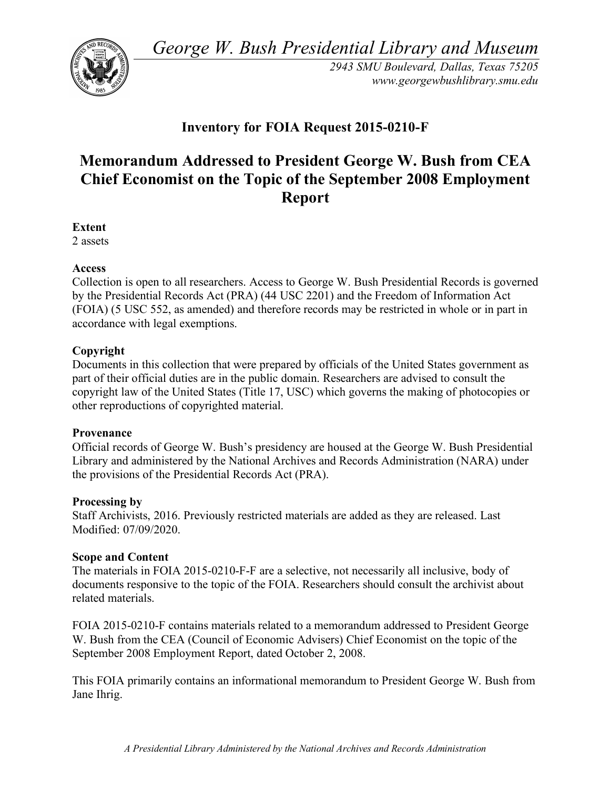*George W. Bush Presidential Library and Museum* 



*2943 SMU Boulevard, Dallas, Texas 75205 <www.georgewbushlibrary.smu.edu>* 

# **Inventory for FOIA Request 2015-0210-F**

# **Memorandum Addressed to President George W. Bush from CEA Chief Economist on the Topic of the September 2008 Employment Report**

**Extent** 

2 assets

## **Access**

 Collection is open to all researchers. Access to George W. Bush Presidential Records is governed by the Presidential Records Act (PRA) (44 USC 2201) and the Freedom of Information Act (FOIA) (5 USC 552, as amended) and therefore records may be restricted in whole or in part in accordance with legal exemptions.

## **Copyright**

 Documents in this collection that were prepared by officials of the United States government as part of their official duties are in the public domain. Researchers are advised to consult the copyright law of the United States (Title 17, USC) which governs the making of photocopies or other reproductions of copyrighted material.

#### **Provenance**

 Official records of George W. Bush's presidency are housed at the George W. Bush Presidential Library and administered by the National Archives and Records Administration (NARA) under the provisions of the Presidential Records Act (PRA).

#### **Processing by**

 Staff Archivists, 2016. Previously restricted materials are added as they are released. Last Modified: 07/09/2020.

#### **Scope and Content**

 The materials in FOIA 2015-0210-F-F are a selective, not necessarily all inclusive, body of documents responsive to the topic of the FOIA. Researchers should consult the archivist about related materials.

 FOIA 2015-0210-F contains materials related to a memorandum addressed to President George W. Bush from the CEA (Council of Economic Advisers) Chief Economist on the topic of the September 2008 Employment Report, dated October 2, 2008.

 This FOIA primarily contains an informational memorandum to President George W. Bush from Jane Ihrig.